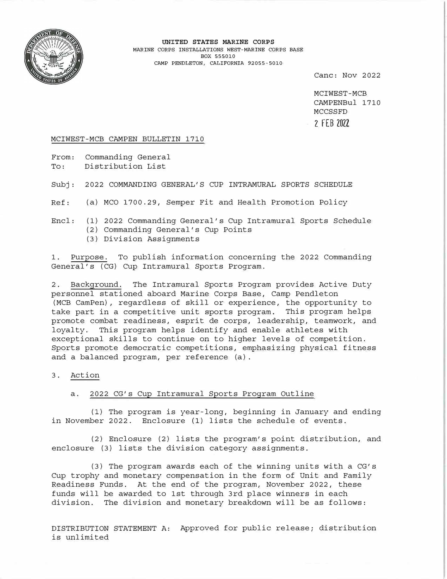

**UNITED STATES MARINE CORPS**  MARINE CORPS INSTALLATIONS WEST-MARINE CORPS BASE BOX 555010 CAMP PENDLETON, CALIFORNIA 92055-5010

Cane: Nov 2022

MCIWEST-MCB CAMPENBul 1710 MCCSSFD **2 FEB 2022** 

#### MCIWEST-MCB CAMPEN BULLETIN 1710

From: Commanding General To: Distribution List

Subj: 2022 COMMANDING GENERAL'S CUP INTRAMURAL SPORTS SCHEDULE

Ref: (a) MCO 1700.29, Semper Fit and Health Promotion Policy

## Encl: (1) 2022 Commanding General's Cup Intramural Sports Schedule (2) Commanding General's Cup Points

(3) Division Assignments

1. Purpose. To publish information concerning the 2022 Commanding General's (CG) Cup Intramural Sports Program.

2. Background. The Intramural Sports Program provides Active Duty personnel stationed aboard Marine Corps Base, Camp Pendleton (MCB CamPen), regardless of skill or experience, the opportunity to take part in a competitive unit sports program. This program helps promote combat readiness, esprit de corps, leadership, teamwork, and loyalty. This program helps identify and enable athletes with exceptional skills to continue on to higher levels of competition. Sports promote democratic competitions, emphasizing physical fitness and a balanced program, per reference (a).

3. Action

#### a. 2022 CG's Cup Intramural Sports Program Outline

(1) The program is year-long, beginning in January and ending in November 2022. Enclosure **(1)** lists the schedule of events.

(2) Enclosure (2) lists the program's point distribution, and enclosure (3) lists the division category assignments.

(3) The program awards each of the winning units with a CG's Cup trophy and monetary compensation in the form of Unit and Family Readiness Funds. At the end of the program, November 2022, these funds will be awarded to 1st through 3rd place winners in each division. The division and monetary breakdown will be as follows:

DISTRIBUTION STATEMENT A: Approved for public release; distribution is unlimited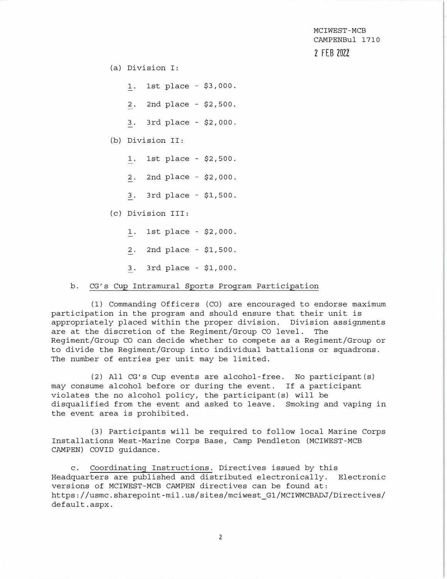(a) Division I:

1. 1st place - \$3,000.

2. 2nd place - \$2,500.

3. 3rd place - \$2,000.

### (b) Division II:

- 1. 1st place \$2,500.
- 2. 2nd place \$2,000.
- 3. 3rd place \$1,500.
- ( C) Division III:
	- 1. 1st place \$2,000.
	- 2. 2nd place \$1,500.
	- 3. 3rd place \$1,000.

#### b. CG's Cup Intramural Sports Program Participation

(1) Commanding Officers (CO) are encouraged to endorse maximum participation in the program and should ensure that their unit is appropriately placed within the proper division. Division assignments are at the discretion of the Regiment/Group CO level. The Regiment/Group CO can decide whether to compete as a Regiment/Group or to divide the Regiment/Group into individual battalions or squadrons. The number of entries per unit may be limited.

(2) All CG's Cup events are alcohol-free. No participant(s) may consume alcohol before or during the event. If a participant violates the no alcohol policy, the participant(s) will be disqualified from the event and asked to leave. Smoking and vaping in the event area is prohibited.

(3) Participants will be required to follow local Marine Corps Installations West-Marine Corps Base, Camp Pendleton (MCIWEST-MCB CAMPEN) COVID guidance.

c. Coordinating: Instructions. Directives issued by this Headquarters are published and distributed electronically. Electronic versions of MCIWEST-MCB CAMPEN directives can be found at: https://usmc.sharepoint-mil.us/sites/mciwest\_Gl/MCIWMCBADJ/Directives/ default.aspx.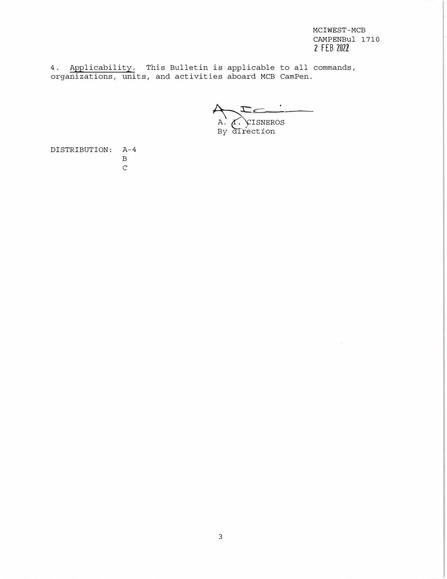4. Applicability. This Bulletin is applicable to all commands, organizations, units, and activities aboard MCB CamPen.

A. CISNEROS By direction

DISTRIBUTION: A-4 B  $\mathbf C$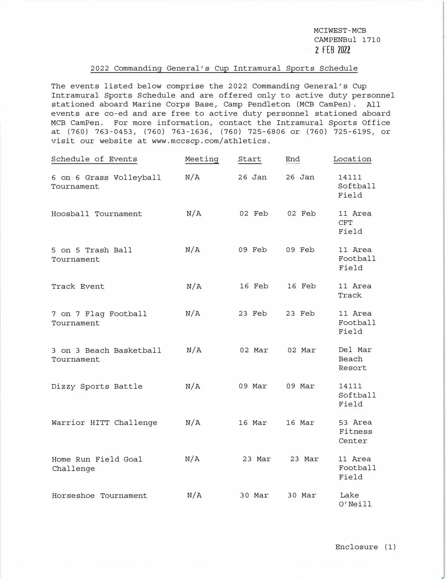### 2022 Commanding General's Cup Intramural Sports Schedule

The events listed below comprise the 2022 Commanding General's Cup Intramural Sports Schedule and are offered only to active duty personnel stationed aboard Marine Corps Base, Camp Pendleton (MCB CamPen). All events are co-ed and are free to active duty personnel stationed aboard MCB CamPen. For more information, contact the Intramural Sports Office at (760) 763-0453, (760) 763-1636, (760) 725-6806 or (760) 725-6195, or visit our website at www.mccscp.com/athletics.

| Schedule of Events                    | Meeting | Start    | End    | Location                       |
|---------------------------------------|---------|----------|--------|--------------------------------|
| 6 on 6 Grass Volleyball<br>Tournament | N/A     | $26$ Jan | 26 Jan | 14111<br>Softball<br>Field     |
| Hoosball Tournament                   | N/A     | 02 Feb   | 02 Feb | 11 Area<br><b>CFT</b><br>Field |
| 5 on 5 Trash Ball<br>Tournament       | N/A     | 09 Feb   | 09 Feb | 11 Area<br>Football<br>Field   |
| Track Event                           | N/A     | 16 Feb   | 16 Feb | 11 Area<br>Track               |
| 7 on 7 Flag Football<br>Tournament    | N/A     | 23 Feb   | 23 Feb | 11 Area<br>Football<br>Field   |
| 3 on 3 Beach Basketball<br>Tournament | N/A     | 02 Mar   | 02 Mar | Del Mar<br>Beach<br>Resort     |
| Dizzy Sports Battle                   | N/A     | 09 Mar   | 09 Mar | 14111<br>Softball<br>Field     |
| Warrior HITT Challenge                | N/A     | 16 Mar   | 16 Mar | 53 Area<br>Fitness<br>Center   |
| Home Run Field Goal<br>Challenge      | N/A     | 23 Mar   | 23 Mar | 11 Area<br>Football<br>Field   |
| Horseshoe Tournament                  | N/A     | 30 Mar   | 30 Mar | Lake<br>O'Neill                |

Enclosure (1)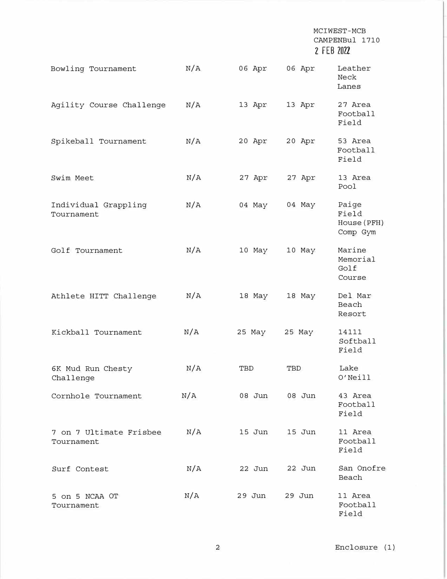| Bowling Tournament                    | N/A | 06 Apr | 06 Apr | Leather<br>Neck<br>Lanes                  |
|---------------------------------------|-----|--------|--------|-------------------------------------------|
| Agility Course Challenge              | N/A | 13 Apr | 13 Apr | 27 Area<br>Football<br>Field              |
| Spikeball Tournament                  | N/A | 20 Apr | 20 Apr | 53 Area<br>Football<br>Field              |
| Swim Meet                             | N/A | 27 Apr | 27 Apr | 13 Area<br>Pool                           |
| Individual Grappling<br>Tournament    | N/A | 04 May | 04 May | Paige<br>Field<br>House (PFH)<br>Comp Gym |
| Golf Tournament                       | N/A | 10 May | 10 May | Marine<br>Memorial<br>Golf<br>Course      |
| Athlete HITT Challenge                | N/A | 18 May | 18 May | Del Mar<br>Beach<br>Resort                |
| Kickball Tournament                   | N/A | 25 May | 25 May | 14111<br>Softball<br>Field                |
| 6K Mud Run Chesty<br>Challenge        | N/A | TBD    | TBD    | Lake<br>O'Neill                           |
| Cornhole Tournament                   | N/A | 08 Jun | 08 Jun | 43 Area<br>Football<br>Field              |
| 7 on 7 Ultimate Frisbee<br>Tournament | N/A | 15 Jun | 15 Jun | 11 Area<br>Football<br>Field              |
| Surf Contest                          | N/A | 22 Jun | 22 Jun | San Onofre<br>Beach                       |
| 5 on 5 NCAA OT<br>Tournament          | N/A | 29 Jun | 29 Jun | 11 Area<br>Football<br>Field              |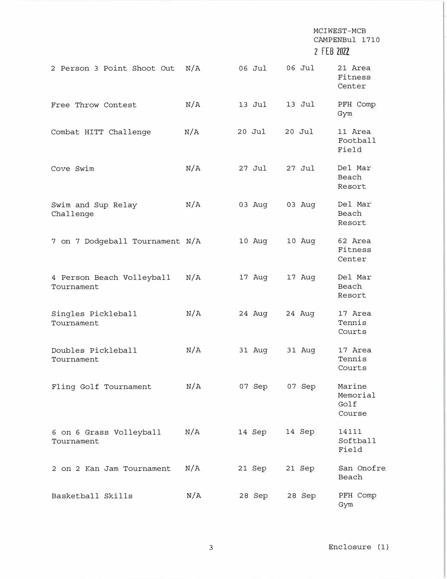| 2 Person 3 Point Shoot Out              | N/A | 06 Jul   | 06 Jul   | 21 Area<br>Fitness<br>Center         |
|-----------------------------------------|-----|----------|----------|--------------------------------------|
| Free Throw Contest                      | N/A | 13 Jul   | 13 Jul   | PFH Comp<br>Gym                      |
| Combat HITT Challenge                   | N/A | $20$ Jul | 20 Jul   | 11 Area<br>Football<br>Field         |
| Cove Swim                               | N/A | 27 Jul   | $27$ Jul | Del Mar<br>Beach<br>Resort           |
| Swim and Sup Relay<br>Challenge         | N/A | 03 Aug   | 03 Aug   | Del Mar<br>Beach<br>Resort           |
| 7 on 7 Dodgeball Tournament N/A         |     | 10 Aug   | 10 Aug   | 62 Area<br>Fitness<br>Center         |
| 4 Person Beach Volleyball<br>Tournament | N/A | 17 Aug   | 17 Aug   | Del Mar<br>Beach<br>Resort           |
| Singles Pickleball<br>Tournament        | N/A | 24 Aug   | 24 Aug   | 17 Area<br>Tennis<br>Courts          |
| Doubles Pickleball<br>Tournament        | N/A | 31 Aug   | 31 Aug   | 17 Area<br>Tennis<br>Courts          |
| Fling Golf Tournament                   | N/A | 07 Sep   | 07 Sep   | Marine<br>Memorial<br>Golf<br>Course |
| 6 on 6 Grass Volleyball<br>Tournament   | N/A | 14 Sep   | 14 Sep   | 14111<br>Softball<br>Field           |
| 2 on 2 Kan Jam Tournament               | N/A | 21 Sep   | 21 Sep   | San Onofre<br>Beach                  |
| Basketball Skills                       | N/A | 28 Sep   | 28 Sep   | PFH Comp<br>Gym                      |

3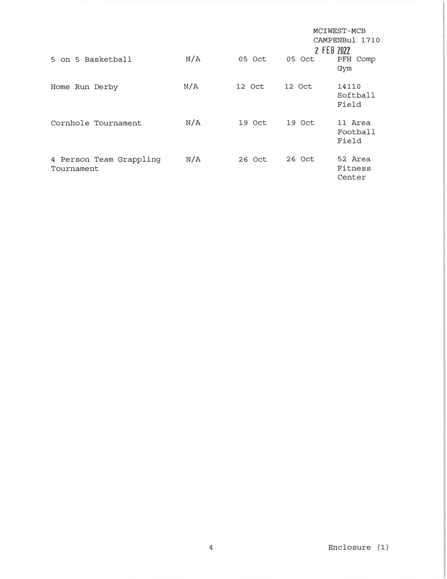|                                       |     |        |            | MCIWEST-MCB                  |
|---------------------------------------|-----|--------|------------|------------------------------|
|                                       |     |        |            | <b>CAMPENBul</b><br>1710     |
|                                       |     |        | 2 FEB 2022 |                              |
| 5 on 5 Basketball                     | N/A | 05 Oct | 05 Oct     | PFH Comp                     |
|                                       |     |        |            | Gym                          |
| Home Run Derby                        | N/A | 12 Oct | 12 Oct     | 14110<br>Softball<br>Field   |
| Cornhole Tournament                   | N/A | 19 Oct | 19 Oct     | 11 Area<br>Football<br>Field |
| 4 Person Team Grappling<br>Tournament | N/A | 26 Oct | 26 Oct     | 52 Area<br>Fitness<br>Center |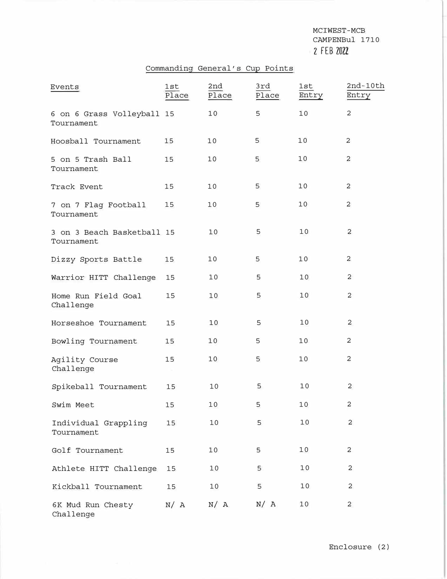# Commanding General's Cup Points

| Events                                   | 1st<br>Place | 2nd<br>Place | 3rd<br>Place | 1st<br>Entry | $2nd-10th$<br>Entry |
|------------------------------------------|--------------|--------------|--------------|--------------|---------------------|
| 6 on 6 Grass Volleyball 15<br>Tournament |              | 10           | 5            | 10           | $\overline{c}$      |
| Hoosball Tournament                      | 15           | 10           | 5            | 10           | 2                   |
| 5 on 5 Trash Ball<br>Tournament          | 15           | 10           | 5            | 10           | $\overline{c}$      |
| Track Event                              | 15           | 10           | 5            | 10           | $\overline{c}$      |
| 7 on 7 Flag Football<br>Tournament       | 15           | 10           | 5            | 10           | $\overline{c}$      |
| 3 on 3 Beach Basketball 15<br>Tournament |              | 10           | 5            | 10           | $\overline{c}$      |
| Dizzy Sports Battle                      | 15           | 10           | 5            | 10           | $\overline{c}$      |
| Warrior HITT Challenge                   | 15           | 10           | 5            | 10           | 2                   |
| Home Run Field Goal<br>Challenge         | 15           | 10           | 5            | 10           | 2                   |
| Horseshoe Tournament                     | 15           | 10           | 5            | 10           | $\overline{c}$      |
| Bowling Tournament                       | 15           | 10           | 5            | 10           | $\overline{2}$      |
| Agility Course<br>Challenge              | 15           | 10           | 5            | 10           | $\overline{c}$      |
| Spikeball Tournament                     | 15           | 10           | 5            | 10           | 2                   |
| Swim Meet                                | 15           | 10           | 5            | 10           | $\overline{c}$      |
| Individual Grappling<br>Tournament       | 15           | 10           | 5            | 10           | 2                   |
| Golf Tournament                          | 15           | 10           | 5            | 10           | $\overline{c}$      |
| Athlete HITT Challenge                   | 15           | 10           | 5            | 10           | $\overline{c}$      |
| Kickball Tournament                      | 15           | 10           | 5            | 10           | 2                   |
| 6K Mud Run Chesty<br>Challenge           | N/ A         | N/A          | N/ A         | 10           | 2                   |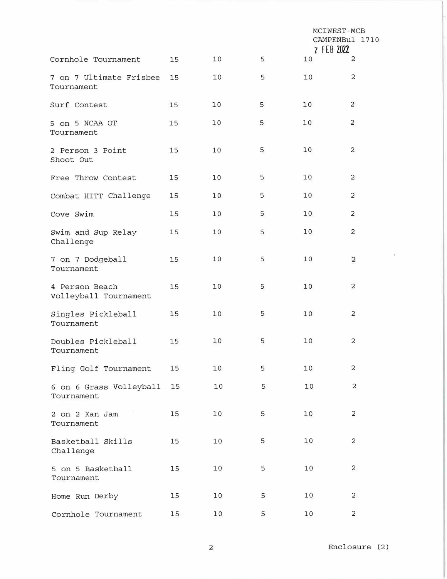|                                         |    |    |   | MCIWEST-MCB<br>CAMPENBul 1710<br>2 FEB 2022 |                |
|-----------------------------------------|----|----|---|---------------------------------------------|----------------|
| Cornhole Tournament                     | 15 | 10 | 5 | 10                                          | $\overline{c}$ |
| 7 on 7 Ultimate Frisbee<br>Tournament   | 15 | 10 | 5 | 10                                          | $\overline{c}$ |
| Surf Contest                            | 15 | 10 | 5 | 10                                          | 2              |
| 5 on 5 NCAA OT<br>Tournament            | 15 | 10 | 5 | 10                                          | $\overline{c}$ |
| 2 Person 3 Point<br>Shoot Out           | 15 | 10 | 5 | 10                                          | 2              |
| Free Throw Contest                      | 15 | 10 | 5 | 10                                          | 2              |
| Combat HITT Challenge                   | 15 | 10 | 5 | 10                                          | 2              |
| Cove Swim                               | 15 | 10 | 5 | 10                                          | $\overline{c}$ |
| Swim and Sup Relay<br>Challenge         | 15 | 10 | 5 | 10                                          | 2              |
| 7 on 7 Dodgeball<br>Tournament          | 15 | 10 | 5 | 10                                          | $\overline{2}$ |
| 4 Person Beach<br>Volleyball Tournament | 15 | 10 | 5 | 10                                          | $\overline{c}$ |
| Singles Pickleball<br>Tournament        | 15 | 10 | 5 | 10                                          | 2              |
| Doubles Pickleball<br>Tournament        | 15 | 10 | 5 | 10                                          | $\overline{c}$ |
| Fling Golf Tournament                   | 15 | 10 | 5 | 10                                          | $\overline{c}$ |
| 6 on 6 Grass Volleyball<br>Tournament   | 15 | 10 | 5 | 10                                          | 2              |
| 2 on 2 Kan Jam<br>Tournament            | 15 | 10 | 5 | 10                                          | $\overline{c}$ |
| Basketball Skills<br>Challenge          | 15 | 10 | 5 | 10                                          | 2              |
| 5 on 5 Basketball<br>Tournament         | 15 | 10 | 5 | 10                                          | 2              |
| Home Run Derby                          | 15 | 10 | 5 | 10                                          | 2              |
| Cornhole Tournament                     | 15 | 10 | 5 | 10                                          | 2              |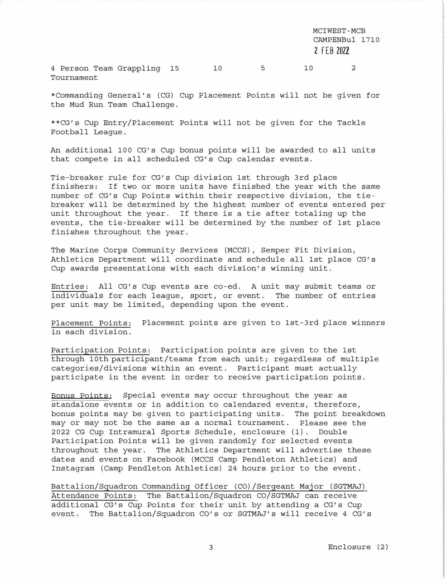4 Person Team Grappling 15 10 5 10 Tournament 2

\*Commanding General's (CG) Cup Placement Points will not be given for the Mud Run Team Challenge.

\*\*CG's Cup Entry/Placement Points will not be given for the Tackle Football League.

An additional 100 CG's Cup bonus points will be awarded to all units that compete in all scheduled CG's Cup calendar events.

Tie-breaker rule for CG's Cup division 1st through 3rd place finishers: If two or more units have finished the year with the same number of CG's Cup Points within their respective division, the tiebreaker will be determined by the highest number of events entered per unit throughout the year. If there is a tie after totaling up the events, the tie-breaker will be determined by the number of 1st place finishes throughout the year.

The Marine Corps Community Services (MCCS), Semper Fit Division, Athletics Department will coordinate and schedule all 1st place CG's Cup awards presentations with each division's winning unit.

Entries: All CG's Cup events are co-ed. A unit may submit teams or individuals for each league, sport, or event. The number of entries per unit may be limited, depending upon the event.

Placement Points: Placement points are given to 1st-3rd place winners in each division.

Participation Points: Participation points are given to the 1st through 10th participant/teams from each unit; regardless of multiple categories/divisions within an event. Participant must actually participate in the event in order to receive participation points.

Bonus Points: Special events may occur throughout the year as standalone events or in addition to calendared events, therefore, bonus points may be given to participating units. The point breakdown may or may not be the same as a normal tournament. Please see the 2022 CG Cup Intramural Sports Schedule, enclosure (1). Double Participation Points will be given randomly for selected events throughout the year. The Athletics Department will advertise these dates and events on Facebook (MCCS Camp Pendleton Athletics) and Instagram (Camp Pendleton Athletics) 24 hours prior to the event.

Battalion/Squadron Commanding Officer (CO)/Sergeant Major (SGTMAJ) Attendance Points: The Battalion/Squadron CO/SGTMAJ can receive additional CG's Cup Points for their unit by attending a CG's Cup event. The Battalion/Squadron CO's or SGTMAJ's will receive 4 CG's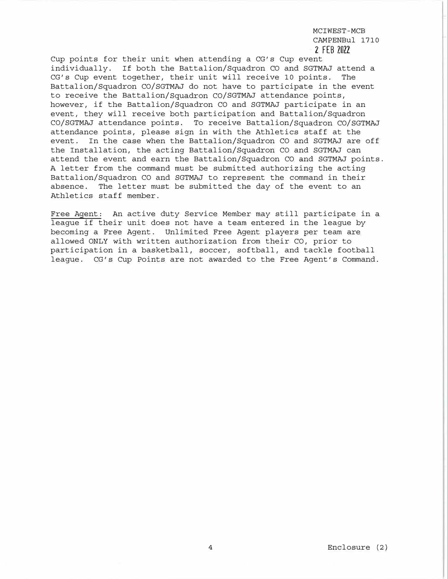Cup points for their unit when attending a CG's Cup event individually. If both the Battalion/Squadron CO and SGTMAJ attend a CG's Cup event together, their unit will receive 10 points. The Battalion/Squadron CO/SGTMAJ do not have to participate in the event to receive the Battalion/Squadron CO/SGTMAJ attendance points, however, if the Battalion/Squadron CO and SGTMAJ participate in an event, they will receive both participation and Battalion/Squadron CO/SGTMAJ attendance points. To receive Battalion/Squadron CO/SGTMAJ attendance points, please sign in with the Athletics staff at the event. In the case when the Battalion/Squadron CO and SGTMAJ are off the Installation, the acting Battalion/Squadron CO and SGTMAJ can attend the event and earn the Battalion/Squadron CO and SGTMAJ points. A letter from the command must be submitted authorizing the acting Battalion/Squadron CO and SGTMAJ to represent the command in their absence. The letter must be submitted the day of the event to an Athletics staff member.

Free Agent: An active duty Service Member may still participate in a league if their unit does not have a team entered in the league by becoming a Free Agent. Unlimited Free Agent players per team are allowed ONLY with written authorization from their CO, prior to participation in a basketball, soccer, softball, and tackle football league. CG's Cup Points are not awarded to the Free Agent's Command.